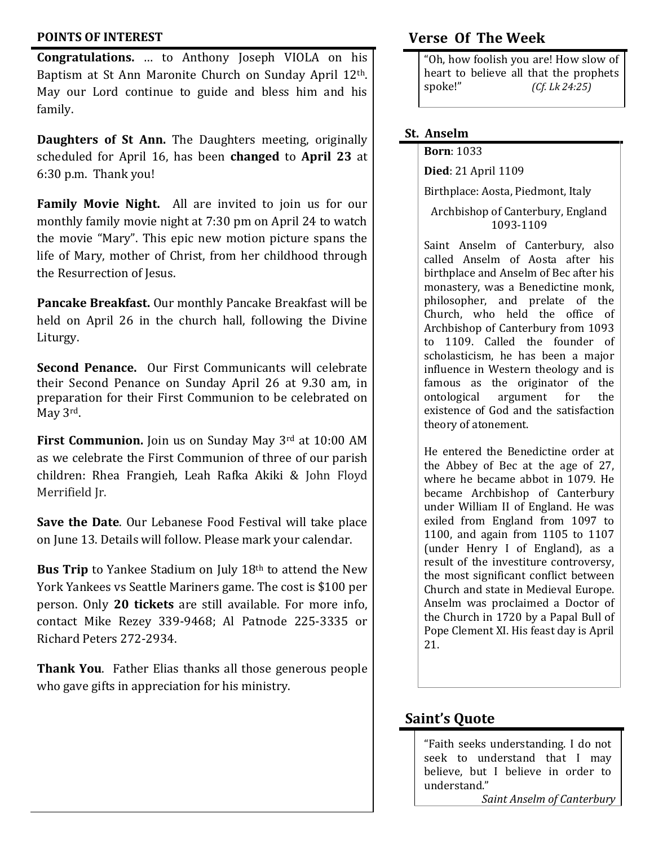#### **POINTS OF INTEREST**

**Congratulations.** … to Anthony Joseph VIOLA on his Baptism at St Ann Maronite Church on Sunday April 12th. May our Lord continue to guide and bless him and his family.

**Daughters of St Ann.** The Daughters meeting, originally scheduled for April 16, has been **changed** to **April 23** at 6:30 p.m. Thank you!

**Family Movie Night.** All are invited to join us for our monthly family movie night at 7:30 pm on April 24 to watch the movie "Mary". This epic new motion picture spans the life of Mary, mother of Christ, from her childhood through the Resurrection of Jesus.

**Pancake Breakfast.** Our monthly Pancake Breakfast will be held on April 26 in the church hall, following the Divine Liturgy.

**Second Penance.** Our First Communicants will celebrate their Second Penance on Sunday April 26 at 9.30 am, in preparation for their First Communion to be celebrated on May 3rd.

**First Communion.** Join us on Sunday May 3rd at 10:00 AM as we celebrate the First Communion of three of our parish children: Rhea Frangieh, Leah Rafka Akiki & John Floyd Merrifield Jr.

**Save the Date**. Our Lebanese Food Festival will take place on June 13. Details will follow. Please mark your calendar.

**Bus Trip** to Yankee Stadium on July 18th to attend the New York Yankees vs Seattle Mariners game. The cost is \$100 per person. Only **20 tickets** are still available. For more info, contact Mike Rezey 339-9468; Al Patnode 225-3335 or Richard Peters 272-2934.

**Thank You**. Father Elias thanks all those generous people who gave gifts in appreciation for his ministry.

## **Verse Of The Week**

"Oh, how foolish you are! How slow of heart to believe all that the prophets spoke!" *(Cf. Lk 24:25)*

## **St. Anselm**

#### **Born**: 1033

**Died**: 21 April 1109

Birthplace: Aosta, Piedmont, Italy

Archbishop of Canterbury, England 1093-1109

Saint Anselm of Canterbury, also called Anselm of Aosta after his birthplace and Anselm of Bec after his monastery, was a Benedictine monk, philosopher, and prelate of the Church, who held the office of Archbishop of Canterbury from 1093 to 1109. Called the founder of scholasticism, he has been a major influence in Western theology and is famous as the originator of the ontological argument for the existence of God and the satisfaction theory of atonement.

He entered the Benedictine order at the Abbey of Bec at the age of 27, where he became abbot in 1079. He became Archbishop of Canterbury under William II of England. He was exiled from England from 1097 to 1100, and again from 1105 to 1107 (under Henry I of England), as a result of the investiture controversy, the most significant conflict between Church and state in Medieval Europe. Anselm was proclaimed a Doctor of the Church in 1720 by a Papal Bull of Pope Clement XI. His feast day is April 21.

# **Saint's Quote**

"Faith seeks understanding. I do not seek to understand that I may believe, but I believe in order to understand."

*Saint Anselm of Canterbury*